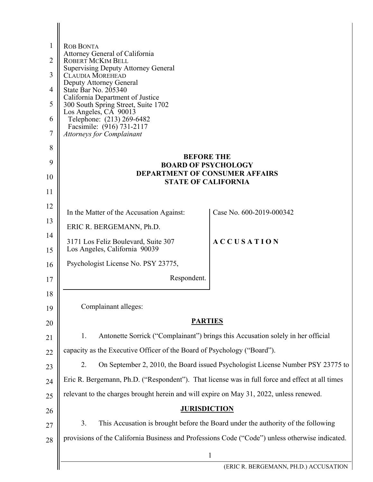| 1              | <b>ROB BONTA</b><br>Attorney General of California                                              |                                                                                  |
|----------------|-------------------------------------------------------------------------------------------------|----------------------------------------------------------------------------------|
| $\overline{2}$ | ROBERT MCKIM BELL<br><b>Supervising Deputy Attorney General</b>                                 |                                                                                  |
| 3              | <b>CLAUDIA MOREHEAD</b>                                                                         |                                                                                  |
| 4              | Deputy Attorney General<br>State Bar No. 205340                                                 |                                                                                  |
| 5              | California Department of Justice<br>300 South Spring Street, Suite 1702                         |                                                                                  |
| 6              | Los Angeles, CA 90013<br>Telephone: (213) 269-6482                                              |                                                                                  |
| 7              | Facsimile: (916) 731-2117<br><b>Attorneys for Complainant</b>                                   |                                                                                  |
| 8              |                                                                                                 |                                                                                  |
| 9              | <b>BEFORE THE</b><br><b>BOARD OF PSYCHOLOGY</b>                                                 |                                                                                  |
| 10             | <b>DEPARTMENT OF CONSUMER AFFAIRS</b><br><b>STATE OF CALIFORNIA</b>                             |                                                                                  |
| 11             |                                                                                                 |                                                                                  |
| 12             | In the Matter of the Accusation Against:                                                        | Case No. 600-2019-000342                                                         |
| 13             |                                                                                                 |                                                                                  |
| 14             | ERIC R. BERGEMANN, Ph.D.<br><b>ACCUSATION</b>                                                   |                                                                                  |
| 15             | 3171 Los Feliz Boulevard, Suite 307<br>Los Angeles, California 90039                            |                                                                                  |
| 16             | Psychologist License No. PSY 23775,                                                             |                                                                                  |
| 17             | Respondent.                                                                                     |                                                                                  |
| 18             |                                                                                                 |                                                                                  |
| 19             | Complainant alleges:                                                                            |                                                                                  |
| 20             | <b>PARTIES</b>                                                                                  |                                                                                  |
| 21             | 1.                                                                                              | Antonette Sorrick ("Complainant") brings this Accusation solely in her official  |
| 22             | capacity as the Executive Officer of the Board of Psychology ("Board").                         |                                                                                  |
| 23             | 2.                                                                                              | On September 2, 2010, the Board issued Psychologist License Number PSY 23775 to  |
| 24             | Eric R. Bergemann, Ph.D. ("Respondent"). That license was in full force and effect at all times |                                                                                  |
| 25             | relevant to the charges brought herein and will expire on May 31, 2022, unless renewed.         |                                                                                  |
| 26             | <b>JURISDICTION</b>                                                                             |                                                                                  |
| 27             | 3.                                                                                              | This Accusation is brought before the Board under the authority of the following |
| 28             | provisions of the California Business and Professions Code ("Code") unless otherwise indicated. |                                                                                  |
|                |                                                                                                 | $\mathbf{1}$                                                                     |
|                |                                                                                                 | (ERIC R. BERGEMANN, PH.D.) ACCUSATION                                            |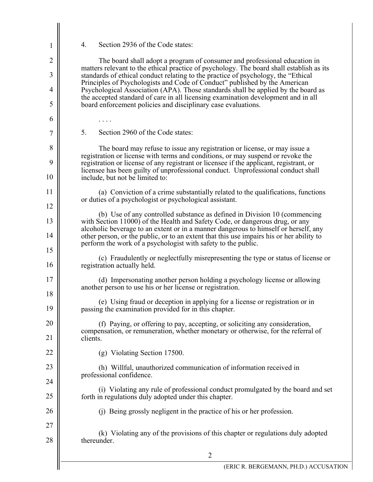4. Section 2936 of the Code states:

1

2

3

4

5

6

7

8

9

10

11

12

13

14

15

16

17

18

19

20

21

22

23

24

25

26

27

28

The board shall adopt a program of consumer and professional education in matters relevant to the ethical practice of psychology. The board shall establish as its standards of ethical conduct relating to the practice of psychology, the "Ethical Principles of Psychologists and Code of Conduct" published by the American Psychological Association (APA). Those standards shall be applied by the board as the accepted standard of care in all licensing examination development and in all board enforcement policies and disciplinary case evaluations.

5. Section 2960 of the Code states:

. . . .

The board may refuse to issue any registration or license, or may issue a registration or license with terms and conditions, or may suspend or revoke the registration or license of any registrant or licensee if the applicant, registrant, or licensee has been guilty of unprofessional conduct. Unprofessional conduct shall include, but not be limited to:

(a) Conviction of a crime substantially related to the qualifications, functions or duties of a psychologist or psychological assistant.

(b) Use of any controlled substance as defined in Division 10 (commencing with Section 11000) of the Health and Safety Code, or dangerous drug, or any alcoholic beverage to an extent or in a manner dangerous to himself or herself, any other person, or the public, or to an extent that this use impairs his or her ability to perform the work of a psychologist with safety to the public.

- (c) Fraudulently or neglectfully misrepresenting the type or status of license or registration actually held.
	- (d) Impersonating another person holding a psychology license or allowing another person to use his or her license or registration.

(e) Using fraud or deception in applying for a license or registration or in passing the examination provided for in this chapter.

(f) Paying, or offering to pay, accepting, or soliciting any consideration, compensation, or remuneration, whether monetary or otherwise, for the referral of clients.

(g) Violating Section 17500.

(h) Willful, unauthorized communication of information received in professional confidence.

(i) Violating any rule of professional conduct promulgated by the board and set forth in regulations duly adopted under this chapter.

(j) Being grossly negligent in the practice of his or her profession.

(k) Violating any of the provisions of this chapter or regulations duly adopted thereunder.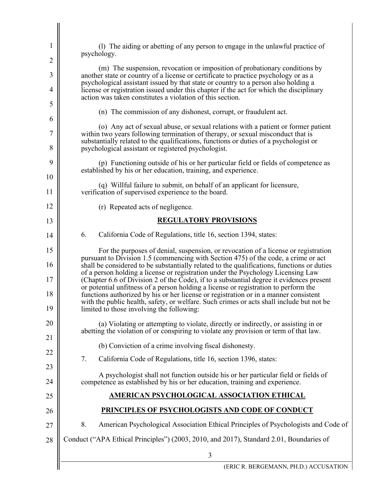| 1        | (1) The aiding or abetting of any person to engage in the unlawful practice of<br>psychology.                                                                                                                                                                                                                                                               |
|----------|-------------------------------------------------------------------------------------------------------------------------------------------------------------------------------------------------------------------------------------------------------------------------------------------------------------------------------------------------------------|
| 2        |                                                                                                                                                                                                                                                                                                                                                             |
| 3        | (m) The suspension, revocation or imposition of probationary conditions by<br>another state or country of a license or certificate to practice psychology or as a<br>psychological assistant issued by that state or country to a person also holding a                                                                                                     |
| 4        | license or registration issued under this chapter if the act for which the disciplinary<br>action was taken constitutes a violation of this section.                                                                                                                                                                                                        |
| 5        | (n) The commission of any dishonest, corrupt, or fraudulent act.                                                                                                                                                                                                                                                                                            |
| 6        | (o) Any act of sexual abuse, or sexual relations with a patient or former patient                                                                                                                                                                                                                                                                           |
| 7<br>8   | within two years following termination of therapy, or sexual misconduct that is<br>substantially related to the qualifications, functions or duties of a psychologist or<br>psychological assistant or registered psychologist.                                                                                                                             |
| 9        | (p) Functioning outside of his or her particular field or fields of competence as                                                                                                                                                                                                                                                                           |
| 10       | established by his or her education, training, and experience.                                                                                                                                                                                                                                                                                              |
| 11       | (q) Willful failure to submit, on behalf of an applicant for licensure,<br>verification of supervised experience to the board.                                                                                                                                                                                                                              |
| 12       | (r) Repeated acts of negligence.                                                                                                                                                                                                                                                                                                                            |
| 13       | <b>REGULATORY PROVISIONS</b>                                                                                                                                                                                                                                                                                                                                |
| 14       | 6.<br>California Code of Regulations, title 16, section 1394, states:                                                                                                                                                                                                                                                                                       |
| 15<br>16 | For the purposes of denial, suspension, or revocation of a license or registration<br>pursuant to Division 1.5 (commencing with Section 475) of the code, a crime or act<br>shall be considered to be substantially related to the qualifications, functions or duties                                                                                      |
| 17<br>18 | of a person holding a license or registration under the Psychology Licensing Law<br>(Chapter 6.6 of Division 2 of the Code), if to a substantial degree it evidences present<br>or potential unfitness of a person holding a license or registration to perform the<br>functions authorized by his or her license or registration or in a manner consistent |
| 19       | with the public health, safety, or welfare. Such crimes or acts shall include but not be<br>limited to those involving the following:                                                                                                                                                                                                                       |
| 20<br>21 | (a) Violating or attempting to violate, directly or indirectly, or assisting in or<br>abetting the violation of or conspiring to violate any provision or term of that law.                                                                                                                                                                                 |
|          | (b) Conviction of a crime involving fiscal dishonesty.                                                                                                                                                                                                                                                                                                      |
| 22<br>23 | 7.<br>California Code of Regulations, title 16, section 1396, states:                                                                                                                                                                                                                                                                                       |
| 24       | A psychologist shall not function outside his or her particular field or fields of<br>competence as established by his or her education, training and experience.                                                                                                                                                                                           |
| 25       | AMERICAN PSYCHOLOGICAL ASSOCIATION ETHICAL                                                                                                                                                                                                                                                                                                                  |
| 26       | PRINCIPLES OF PSYCHOLOGISTS AND CODE OF CONDUCT                                                                                                                                                                                                                                                                                                             |
| 27       | 8.<br>American Psychological Association Ethical Principles of Psychologists and Code of                                                                                                                                                                                                                                                                    |
| 28       | Conduct ("APA Ethical Principles") (2003, 2010, and 2017), Standard 2.01, Boundaries of                                                                                                                                                                                                                                                                     |
|          | 3                                                                                                                                                                                                                                                                                                                                                           |
|          | (ERIC R. BERGEMANN, PH.D.) ACCUSATION                                                                                                                                                                                                                                                                                                                       |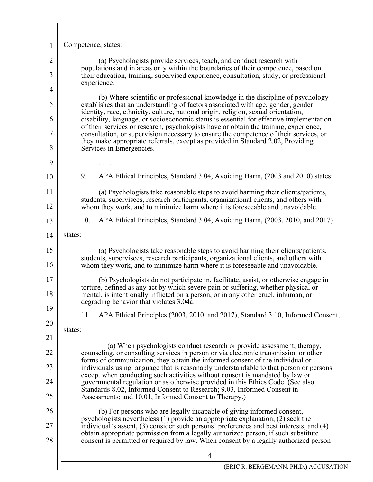| 1              | Competence, states:                                                                                                                                                                                                                                                                                                                                      |
|----------------|----------------------------------------------------------------------------------------------------------------------------------------------------------------------------------------------------------------------------------------------------------------------------------------------------------------------------------------------------------|
| $\overline{2}$ | (a) Psychologists provide services, teach, and conduct research with<br>populations and in areas only within the boundaries of their competence, based on                                                                                                                                                                                                |
| 3<br>4         | their education, training, supervised experience, consultation, study, or professional<br>experience.                                                                                                                                                                                                                                                    |
| 5              | (b) Where scientific or professional knowledge in the discipline of psychology<br>establishes that an understanding of factors associated with age, gender, gender                                                                                                                                                                                       |
| 6              | identity, race, ethnicity, culture, national origin, religion, sexual orientation,<br>disability, language, or socioeconomic status is essential for effective implementation                                                                                                                                                                            |
| 7              | of their services or research, psychologists have or obtain the training, experience,<br>consultation, or supervision necessary to ensure the competence of their services, or                                                                                                                                                                           |
| 8              | they make appropriate referrals, except as provided in Standard 2.02, Providing<br>Services in Emergencies.                                                                                                                                                                                                                                              |
| 9              |                                                                                                                                                                                                                                                                                                                                                          |
| 10             | 9.<br>APA Ethical Principles, Standard 3.04, Avoiding Harm, (2003 and 2010) states:                                                                                                                                                                                                                                                                      |
| 11<br>12       | (a) Psychologists take reasonable steps to avoid harming their clients/patients,<br>students, supervisees, research participants, organizational clients, and others with<br>whom they work, and to minimize harm where it is foreseeable and unavoidable.                                                                                               |
| 13             | 10.<br>APA Ethical Principles, Standard 3.04, Avoiding Harm, (2003, 2010, and 2017)                                                                                                                                                                                                                                                                      |
| 14             | states:                                                                                                                                                                                                                                                                                                                                                  |
| 15<br>16       | (a) Psychologists take reasonable steps to avoid harming their clients/patients,<br>students, supervisees, research participants, organizational clients, and others with<br>whom they work, and to minimize harm where it is foreseeable and unavoidable.                                                                                               |
| 17<br>18       | (b) Psychologists do not participate in, facilitate, assist, or otherwise engage in<br>torture, defined as any act by which severe pain or suffering, whether physical or<br>mental, is intentionally inflicted on a person, or in any other cruel, inhuman, or<br>degrading behavior that violates 3.04a.                                               |
| 19             | APA Ethical Principles (2003, 2010, and 2017), Standard 3.10, Informed Consent,<br>11.                                                                                                                                                                                                                                                                   |
| 20             | states:                                                                                                                                                                                                                                                                                                                                                  |
| 21<br>22       | (a) When psychologists conduct research or provide assessment, therapy,<br>counseling, or consulting services in person or via electronic transmission or other                                                                                                                                                                                          |
| 23             | forms of communication, they obtain the informed consent of the individual or<br>individuals using language that is reasonably understandable to that person or persons                                                                                                                                                                                  |
| 24             | except when conducting such activities without consent is mandated by law or<br>governmental regulation or as otherwise provided in this Ethics Code. (See also                                                                                                                                                                                          |
| 25             | Standards 8.02, Informed Consent to Research; 9.03, Informed Consent in<br>Assessments; and 10.01, Informed Consent to Therapy.)                                                                                                                                                                                                                         |
| 26             | (b) For persons who are legally incapable of giving informed consent,                                                                                                                                                                                                                                                                                    |
| 27<br>28       | psychologists nevertheless (1) provide an appropriate explanation, (2) seek the<br>individual's assent, (3) consider such persons' preferences and best interests, and (4)<br>obtain appropriate permission from a legally authorized person, if such substitute<br>consent is permitted or required by law. When consent by a legally authorized person |
|                | $\overline{4}$                                                                                                                                                                                                                                                                                                                                           |
|                | (ERIC R. BERGEMANN, PH.D.) ACCUSATIO                                                                                                                                                                                                                                                                                                                     |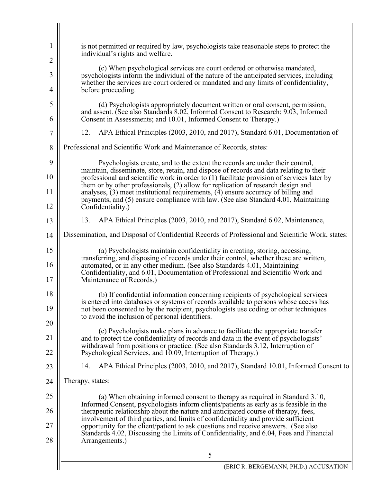| 1              | is not permitted or required by law, psychologists take reasonable steps to protect the<br>individual's rights and welfare.                                                                                                                                                                                                           |
|----------------|---------------------------------------------------------------------------------------------------------------------------------------------------------------------------------------------------------------------------------------------------------------------------------------------------------------------------------------|
| 2              |                                                                                                                                                                                                                                                                                                                                       |
| 3              | (c) When psychological services are court ordered or otherwise mandated,<br>psychologists inform the individual of the nature of the anticipated services, including<br>whether the services are court ordered or mandated and any limits of confidentiality,                                                                         |
| 4              | before proceeding.                                                                                                                                                                                                                                                                                                                    |
| 5<br>6         | (d) Psychologists appropriately document written or oral consent, permission,<br>and assent. (See also Standards 8.02, Informed Consent to Research; 9.03, Informed<br>Consent in Assessments; and 10.01, Informed Consent to Therapy.)                                                                                               |
| $\overline{7}$ | 12.<br>APA Ethical Principles (2003, 2010, and 2017), Standard 6.01, Documentation of                                                                                                                                                                                                                                                 |
| 8              | Professional and Scientific Work and Maintenance of Records, states:                                                                                                                                                                                                                                                                  |
| 9<br>10        | Psychologists create, and to the extent the records are under their control,<br>maintain, disseminate, store, retain, and dispose of records and data relating to their<br>professional and scientific work in order to (1) facilitate provision of services later by                                                                 |
| 11             | them or by other professionals, (2) allow for replication of research design and<br>analyses, $(3)$ meet institutional requirements, $(4)$ ensure accuracy of billing and                                                                                                                                                             |
| 12             | payments, and (5) ensure compliance with law. (See also Standard 4.01, Maintaining<br>Confidentiality.)                                                                                                                                                                                                                               |
| 13             | 13.<br>APA Ethical Principles (2003, 2010, and 2017), Standard 6.02, Maintenance,                                                                                                                                                                                                                                                     |
| 14             | Dissemination, and Disposal of Confidential Records of Professional and Scientific Work, states:                                                                                                                                                                                                                                      |
| 15<br>16       | (a) Psychologists maintain confidentiality in creating, storing, accessing,<br>transferring, and disposing of records under their control, whether these are written,<br>automated, or in any other medium. (See also Standards 4.01, Maintaining<br>Confidentiality, and 6.01, Documentation of Professional and Scientific Work and |
| 17             | Maintenance of Records.)                                                                                                                                                                                                                                                                                                              |
| 18<br>19       | (b) If confidential information concerning recipients of psychological services<br>is entered into databases or systems of records available to persons whose access has<br>not been consented to by the recipient, psychologists use coding or other techniques                                                                      |
| 20             | to avoid the inclusion of personal identifiers.                                                                                                                                                                                                                                                                                       |
| 21             | (c) Psychologists make plans in advance to facilitate the appropriate transfer<br>and to protect the confidentiality of records and data in the event of psychologists'                                                                                                                                                               |
| 22             | withdrawal from positions or practice. (See also Standards 3.12, Interruption of<br>Psychological Services, and 10.09, Interruption of Therapy.)                                                                                                                                                                                      |
| 23             | APA Ethical Principles (2003, 2010, and 2017), Standard 10.01, Informed Consent to<br>14.                                                                                                                                                                                                                                             |
| 24             | Therapy, states:                                                                                                                                                                                                                                                                                                                      |
| 25             | (a) When obtaining informed consent to therapy as required in Standard 3.10,<br>Informed Consent, psychologists inform clients/patients as early as is feasible in the                                                                                                                                                                |
| 26             | therapeutic relationship about the nature and anticipated course of therapy, fees,<br>involvement of third parties, and limits of confidentiality and provide sufficient                                                                                                                                                              |
| 27<br>28       | opportunity for the client/patient to ask questions and receive answers. (See also<br>Standards 4.02, Discussing the Limits of Confidentiality, and 6.04, Fees and Financial<br>Arrangements.)                                                                                                                                        |
|                | 5                                                                                                                                                                                                                                                                                                                                     |
|                | (ERIC R. BERGEMANN, PH.D.) ACCUSATION                                                                                                                                                                                                                                                                                                 |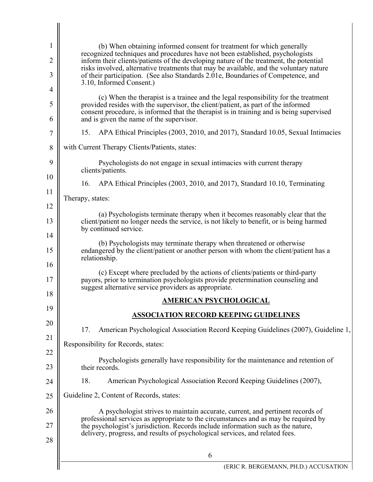| 1                   | (b) When obtaining informed consent for treatment for which generally<br>recognized techniques and procedures have not been established, psychologists                                                                                                                                                                                    |
|---------------------|-------------------------------------------------------------------------------------------------------------------------------------------------------------------------------------------------------------------------------------------------------------------------------------------------------------------------------------------|
| $\overline{2}$<br>3 | inform their clients/patients of the developing nature of the treatment, the potential<br>risks involved, alternative treatments that may be available, and the voluntary nature<br>of their participation. (See also Standards 2.01e, Boundaries of Competence, and                                                                      |
| 4                   | 3.10, Informed Consent.)                                                                                                                                                                                                                                                                                                                  |
| 5<br>6              | (c) When the therapist is a trainee and the legal responsibility for the treatment<br>provided resides with the supervisor, the client/patient, as part of the informed<br>consent procedure, is informed that the therapist is in training and is being supervised<br>and is given the name of the supervisor.                           |
| 7                   | 15.<br>APA Ethical Principles (2003, 2010, and 2017), Standard 10.05, Sexual Intimacies                                                                                                                                                                                                                                                   |
| 8                   | with Current Therapy Clients/Patients, states:                                                                                                                                                                                                                                                                                            |
| 9                   | Psychologists do not engage in sexual intimacies with current therapy<br>clients/patients.                                                                                                                                                                                                                                                |
| 10                  | APA Ethical Principles (2003, 2010, and 2017), Standard 10.10, Terminating<br>16.                                                                                                                                                                                                                                                         |
| 11                  | Therapy, states:                                                                                                                                                                                                                                                                                                                          |
| 12                  | (a) Psychologists terminate therapy when it becomes reasonably clear that the                                                                                                                                                                                                                                                             |
| 13                  | client/patient no longer needs the service, is not likely to benefit, or is being harmed<br>by continued service.                                                                                                                                                                                                                         |
| 14<br>15            | (b) Psychologists may terminate therapy when threatened or otherwise<br>endangered by the client/patient or another person with whom the client/patient has a<br>relationship.                                                                                                                                                            |
| 16<br>17            | (c) Except where precluded by the actions of clients/patients or third-party<br>payors, prior to termination psychologists provide pretermination counseling and<br>suggest alternative service providers as appropriate.                                                                                                                 |
| 18                  | <u>AMERICAN PSYCHOLOGICAL</u>                                                                                                                                                                                                                                                                                                             |
| 19                  | <b>ASSOCIATION RECORD KEEPING GUIDELINES</b>                                                                                                                                                                                                                                                                                              |
| 20                  | American Psychological Association Record Keeping Guidelines (2007), Guideline 1,<br>17.                                                                                                                                                                                                                                                  |
| 21                  | Responsibility for Records, states:                                                                                                                                                                                                                                                                                                       |
| 22<br>23            | Psychologists generally have responsibility for the maintenance and retention of<br>their records.                                                                                                                                                                                                                                        |
| 24                  | 18.<br>American Psychological Association Record Keeping Guidelines (2007),                                                                                                                                                                                                                                                               |
| 25                  | Guideline 2, Content of Records, states:                                                                                                                                                                                                                                                                                                  |
| 26<br>27<br>28      | A psychologist strives to maintain accurate, current, and pertinent records of<br>professional services as appropriate to the circumstances and as may be required by<br>the psychologist's jurisdiction. Records include information such as the nature,<br>delivery, progress, and results of psychological services, and related fees. |
|                     | 6                                                                                                                                                                                                                                                                                                                                         |
|                     | (ERIC R. BERGEMANN, PH.D.) ACCUSATION                                                                                                                                                                                                                                                                                                     |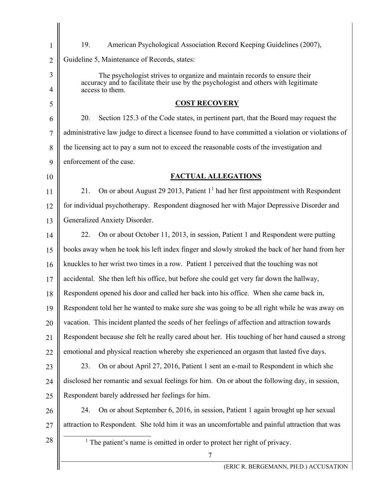| 1              | 19.<br>American Psychological Association Record Keeping Guidelines (2007),                            |
|----------------|--------------------------------------------------------------------------------------------------------|
| $\overline{2}$ | Guideline 5, Maintenance of Records, states:                                                           |
| 3              | The psychologist strives to organize and maintain records to ensure their                              |
| 4              | accuracy and to facilitate their use by the psychologist and others with legitimate<br>access to them. |
| 5              | <b>COST RECOVERY</b>                                                                                   |
| 6              | 20.<br>Section 125.3 of the Code states, in pertinent part, that the Board may request the             |
| 7              | administrative law judge to direct a licensee found to have committed a violation or violations of     |
| 8              | the licensing act to pay a sum not to exceed the reasonable costs of the investigation and             |
| 9              | enforcement of the case.                                                                               |
| 10             | <b>FACTUAL ALLEGATIONS</b>                                                                             |
| 11             | On or about August 29 2013, Patient $11$ had her first appointment with Respondent<br>21.              |
| 12             | for individual psychotherapy. Respondent diagnosed her with Major Depressive Disorder and              |
| 13             | Generalized Anxiety Disorder.                                                                          |
| 14             | 22.<br>On or about October 11, 2013, in session, Patient 1 and Respondent were putting                 |
| 15             | books away when he took his left index finger and slowly stroked the back of her hand from her         |
| 16             | knuckles to her wrist two times in a row. Patient 1 perceived that the touching was not                |
| 17             | accidental. She then left his office, but before she could get very far down the hallway,              |
| 18             | Respondent opened his door and called her back into his office. When she came back in,                 |
| 19             | Respondent told her he wanted to make sure she was going to be all right while he was away on          |
| 20             | vacation. This incident planted the seeds of her feelings of affection and attraction towards          |
| 21             | Respondent because she felt he really cared about her. His touching of her hand caused a strong        |
| 22             | emotional and physical reaction whereby she experienced an orgasm that lasted five days.               |
| 23             | On or about April 27, 2016, Patient 1 sent an e-mail to Respondent in which she<br>23.                 |
| 24             | disclosed her romantic and sexual feelings for him. On or about the following day, in session,         |
| 25             | Respondent barely addressed her feelings for him.                                                      |
| 26             | On or about September 6, 2016, in session, Patient 1 again brought up her sexual<br>24.                |
| 27             | attraction to Respondent. She told him it was an uncomfortable and painful attraction that was         |
| 28             | $1$ The patient's name is omitted in order to protect her right of privacy.                            |
|                | $\tau$<br>(ERIC R. BERGEMANN, PH.D.) ACCUSATION                                                        |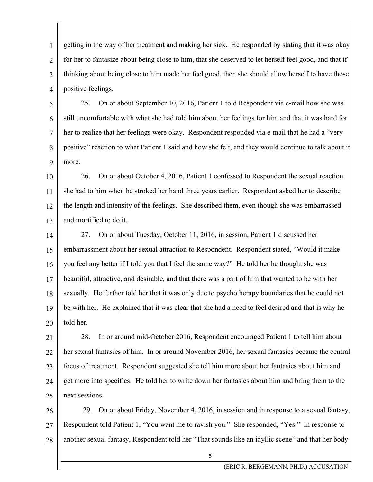1 2 3 4 getting in the way of her treatment and making her sick. He responded by stating that it was okay for her to fantasize about being close to him, that she deserved to let herself feel good, and that if thinking about being close to him made her feel good, then she should allow herself to have those positive feelings.

5 6 7 8 9 25. On or about September 10, 2016, Patient 1 told Respondent via e-mail how she was still uncomfortable with what she had told him about her feelings for him and that it was hard for her to realize that her feelings were okay. Respondent responded via e-mail that he had a "very positive" reaction to what Patient 1 said and how she felt, and they would continue to talk about it more.

10 11 12 13 26. On or about October 4, 2016, Patient 1 confessed to Respondent the sexual reaction she had to him when he stroked her hand three years earlier. Respondent asked her to describe the length and intensity of the feelings. She described them, even though she was embarrassed and mortified to do it.

14 15 16 17 18 19 20 27. On or about Tuesday, October 11, 2016, in session, Patient 1 discussed her embarrassment about her sexual attraction to Respondent. Respondent stated, "Would it make you feel any better if I told you that I feel the same way?" He told her he thought she was beautiful, attractive, and desirable, and that there was a part of him that wanted to be with her sexually. He further told her that it was only due to psychotherapy boundaries that he could not be with her. He explained that it was clear that she had a need to feel desired and that is why he told her.

21 22 23 24 25 28. In or around mid-October 2016, Respondent encouraged Patient 1 to tell him about her sexual fantasies of him. In or around November 2016, her sexual fantasies became the central focus of treatment. Respondent suggested she tell him more about her fantasies about him and get more into specifics. He told her to write down her fantasies about him and bring them to the next sessions.

26 27 28 29. On or about Friday, November 4, 2016, in session and in response to a sexual fantasy, Respondent told Patient 1, "You want me to ravish you." She responded, "Yes." In response to another sexual fantasy, Respondent told her "That sounds like an idyllic scene" and that her body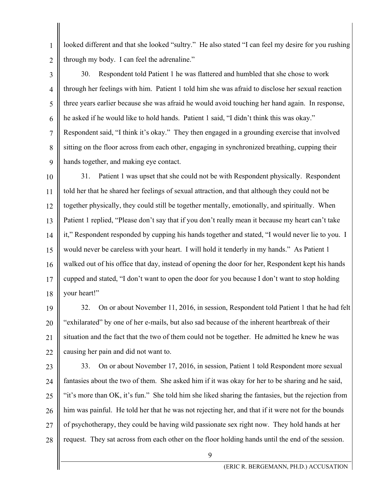looked different and that she looked "sultry." He also stated "I can feel my desire for you rushing through my body. I can feel the adrenaline."

2 3

5

6

7

8

9

1

4 30. Respondent told Patient 1 he was flattered and humbled that she chose to work through her feelings with him. Patient 1 told him she was afraid to disclose her sexual reaction three years earlier because she was afraid he would avoid touching her hand again. In response, he asked if he would like to hold hands. Patient 1 said, "I didn't think this was okay." Respondent said, "I think it's okay." They then engaged in a grounding exercise that involved sitting on the floor across from each other, engaging in synchronized breathing, cupping their hands together, and making eye contact.

10 11 12 13 14 15 16 17 18 31. Patient 1 was upset that she could not be with Respondent physically. Respondent told her that he shared her feelings of sexual attraction, and that although they could not be together physically, they could still be together mentally, emotionally, and spiritually. When Patient 1 replied, "Please don't say that if you don't really mean it because my heart can't take it," Respondent responded by cupping his hands together and stated, "I would never lie to you. I would never be careless with your heart. I will hold it tenderly in my hands." As Patient 1 walked out of his office that day, instead of opening the door for her, Respondent kept his hands cupped and stated, "I don't want to open the door for you because I don't want to stop holding your heart!"

19 20 21 22 32. On or about November 11, 2016, in session, Respondent told Patient 1 that he had felt "exhilarated" by one of her e-mails, but also sad because of the inherent heartbreak of their situation and the fact that the two of them could not be together. He admitted he knew he was causing her pain and did not want to.

23

24 25 26 27 28 33. On or about November 17, 2016, in session, Patient 1 told Respondent more sexual fantasies about the two of them. She asked him if it was okay for her to be sharing and he said, "it's more than OK, it's fun." She told him she liked sharing the fantasies, but the rejection from him was painful. He told her that he was not rejecting her, and that if it were not for the bounds of psychotherapy, they could be having wild passionate sex right now. They hold hands at her request. They sat across from each other on the floor holding hands until the end of the session.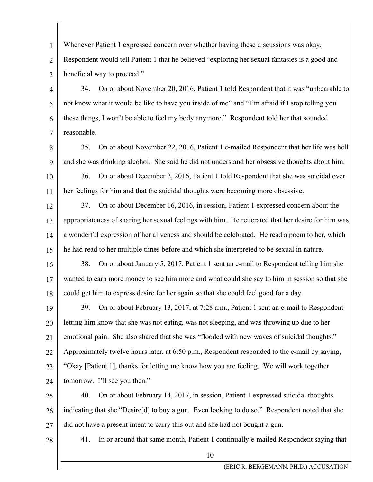Whenever Patient 1 expressed concern over whether having these discussions was okay, Respondent would tell Patient 1 that he believed "exploring her sexual fantasies is a good and beneficial way to proceed."

34. On or about November 20, 2016, Patient 1 told Respondent that it was "unbearable to not know what it would be like to have you inside of me" and "I'm afraid if I stop telling you these things, I won't be able to feel my body anymore." Respondent told her that sounded reasonable.

8

9

7

1

2

3

4

5

6

35. On or about November 22, 2016, Patient 1 e-mailed Respondent that her life was hell and she was drinking alcohol. She said he did not understand her obsessive thoughts about him.

10 11 36. On or about December 2, 2016, Patient 1 told Respondent that she was suicidal over her feelings for him and that the suicidal thoughts were becoming more obsessive.

12 13 14 15 37. On or about December 16, 2016, in session, Patient 1 expressed concern about the appropriateness of sharing her sexual feelings with him. He reiterated that her desire for him was a wonderful expression of her aliveness and should be celebrated. He read a poem to her, which he had read to her multiple times before and which she interpreted to be sexual in nature.

16 17 18 38. On or about January 5, 2017, Patient 1 sent an e-mail to Respondent telling him she wanted to earn more money to see him more and what could she say to him in session so that she could get him to express desire for her again so that she could feel good for a day.

19 20 21 22 23 24 39. On or about February 13, 2017, at 7:28 a.m., Patient 1 sent an e-mail to Respondent letting him know that she was not eating, was not sleeping, and was throwing up due to her emotional pain. She also shared that she was "flooded with new waves of suicidal thoughts." Approximately twelve hours later, at 6:50 p.m., Respondent responded to the e-mail by saying, "Okay [Patient 1], thanks for letting me know how you are feeling. We will work together tomorrow. I'll see you then."

25 26 27 40. On or about February 14, 2017, in session, Patient 1 expressed suicidal thoughts indicating that she "Desire[d] to buy a gun. Even looking to do so." Respondent noted that she did not have a present intent to carry this out and she had not bought a gun.

28

41. In or around that same month, Patient 1 continually e-mailed Respondent saying that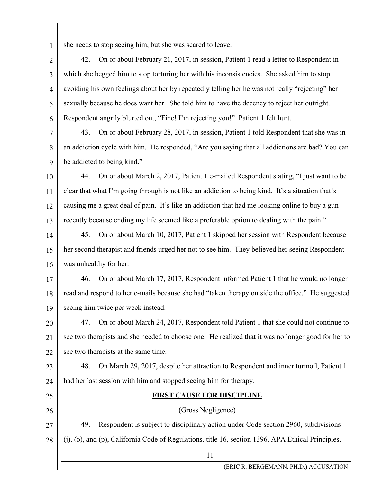1

she needs to stop seeing him, but she was scared to leave.

2 3 4 5 6 42. On or about February 21, 2017, in session, Patient 1 read a letter to Respondent in which she begged him to stop torturing her with his inconsistencies. She asked him to stop avoiding his own feelings about her by repeatedly telling her he was not really "rejecting" her sexually because he does want her. She told him to have the decency to reject her outright. Respondent angrily blurted out, "Fine! I'm rejecting you!" Patient 1 felt hurt.

7 8 9 43. On or about February 28, 2017, in session, Patient 1 told Respondent that she was in an addiction cycle with him. He responded, "Are you saying that all addictions are bad? You can be addicted to being kind."

10 11 12 13 44. On or about March 2, 2017, Patient 1 e-mailed Respondent stating, "I just want to be clear that what I'm going through is not like an addiction to being kind. It's a situation that's causing me a great deal of pain. It's like an addiction that had me looking online to buy a gun recently because ending my life seemed like a preferable option to dealing with the pain."

14 15 16 45. On or about March 10, 2017, Patient 1 skipped her session with Respondent because her second therapist and friends urged her not to see him. They believed her seeing Respondent was unhealthy for her.

17 18 19 46. On or about March 17, 2017, Respondent informed Patient 1 that he would no longer read and respond to her e-mails because she had "taken therapy outside the office." He suggested seeing him twice per week instead.

20 21 22 47. On or about March 24, 2017, Respondent told Patient 1 that she could not continue to see two therapists and she needed to choose one. He realized that it was no longer good for her to see two therapists at the same time.

23 24 48. On March 29, 2017, despite her attraction to Respondent and inner turmoil, Patient 1 had her last session with him and stopped seeing him for therapy.

## 25 26

## **FIRST CAUSE FOR DISCIPLINE**  (Gross Negligence)

27 28 49. Respondent is subject to disciplinary action under Code section 2960, subdivisions (j), (o), and (p), California Code of Regulations, title 16, section 1396, APA Ethical Principles,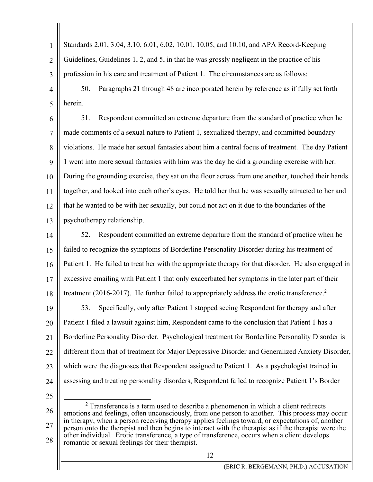1  $\mathcal{D}_{\mathcal{L}}$ 3 Standards 2.01, 3.04, 3.10, 6.01, 6.02, 10.01, 10.05, and 10.10, and APA Record-Keeping Guidelines, Guidelines 1, 2, and 5, in that he was grossly negligent in the practice of his profession in his care and treatment of Patient 1. The circumstances are as follows:

4 5 50. Paragraphs 21 through 48 are incorporated herein by reference as if fully set forth herein.

6 7 8  $\overline{Q}$ 10 11 12 13 51. Respondent committed an extreme departure from the standard of practice when he made comments of a sexual nature to Patient 1, sexualized therapy, and committed boundary violations. He made her sexual fantasies about him a central focus of treatment. The day Patient 1 went into more sexual fantasies with him was the day he did a grounding exercise with her. During the grounding exercise, they sat on the floor across from one another, touched their hands together, and looked into each other's eyes. He told her that he was sexually attracted to her and that he wanted to be with her sexually, but could not act on it due to the boundaries of the psychotherapy relationship.

14 15 16 17 18 52. Respondent committed an extreme departure from the standard of practice when he failed to recognize the symptoms of Borderline Personality Disorder during his treatment of Patient 1. He failed to treat her with the appropriate therapy for that disorder. He also engaged in excessive emailing with Patient 1 that only exacerbated her symptoms in the later part of their treatment (2016-2017). He further failed to appropriately address the erotic transference.<sup>2</sup>

19 20 21 22 23 24 53. Specifically, only after Patient 1 stopped seeing Respondent for therapy and after Patient 1 filed a lawsuit against him, Respondent came to the conclusion that Patient 1 has a Borderline Personality Disorder. Psychological treatment for Borderline Personality Disorder is different from that of treatment for Major Depressive Disorder and Generalized Anxiety Disorder, which were the diagnoses that Respondent assigned to Patient 1. As a psychologist trained in assessing and treating personality disorders, Respondent failed to recognize Patient 1's Border

25

26 27 28 2  $2$  Transference is a term used to describe a phenomenon in which a client redirects emotions and feelings, often unconsciously, from one person to another. This process may occur in therapy, when a person receiving therapy applies feelings toward, or expectations of, another person onto the therapist and then begins to interact with the therapist as if the therapist were the other individual. Erotic transference, a type of transference, occurs when a client develops romantic or sexual feelings for their therapist.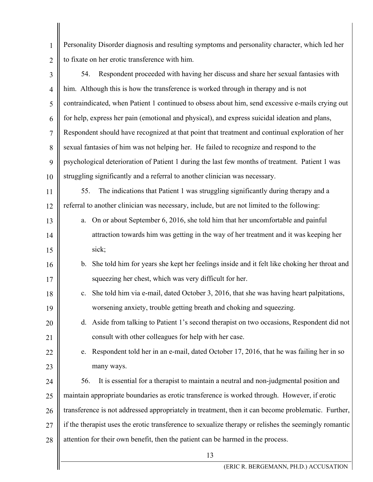13 1 2 3 4 5 6 7 8  $\overline{Q}$ 10 11 12 13 14 15 16 17 18 19 20 21 22 23 24 25 26 27 28 Personality Disorder diagnosis and resulting symptoms and personality character, which led her to fixate on her erotic transference with him. 54. Respondent proceeded with having her discuss and share her sexual fantasies with him. Although this is how the transference is worked through in therapy and is not contraindicated, when Patient 1 continued to obsess about him, send excessive e-mails crying out for help, express her pain (emotional and physical), and express suicidal ideation and plans, Respondent should have recognized at that point that treatment and continual exploration of her sexual fantasies of him was not helping her. He failed to recognize and respond to the psychological deterioration of Patient 1 during the last few months of treatment. Patient 1 was struggling significantly and a referral to another clinician was necessary. 55. The indications that Patient 1 was struggling significantly during therapy and a referral to another clinician was necessary, include, but are not limited to the following: a. On or about September 6, 2016, she told him that her uncomfortable and painful attraction towards him was getting in the way of her treatment and it was keeping her sick; b. She told him for years she kept her feelings inside and it felt like choking her throat and squeezing her chest, which was very difficult for her. c. She told him via e-mail, dated October 3, 2016, that she was having heart palpitations, worsening anxiety, trouble getting breath and choking and squeezing. d. Aside from talking to Patient 1's second therapist on two occasions, Respondent did not consult with other colleagues for help with her case. e. Respondent told her in an e-mail, dated October 17, 2016, that he was failing her in so many ways. 56. It is essential for a therapist to maintain a neutral and non-judgmental position and maintain appropriate boundaries as erotic transference is worked through. However, if erotic transference is not addressed appropriately in treatment, then it can become problematic. Further, if the therapist uses the erotic transference to sexualize therapy or relishes the seemingly romantic attention for their own benefit, then the patient can be harmed in the process.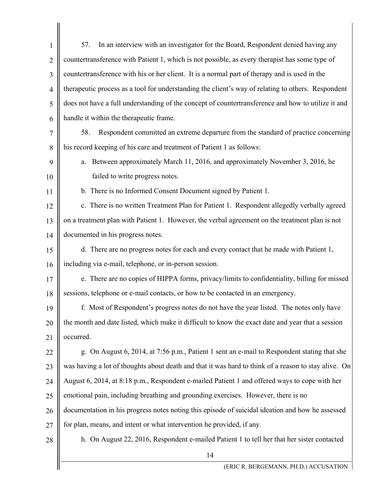| $\mathbf{1}$   | 57.<br>In an interview with an investigator for the Board, Respondent denied having any              |
|----------------|------------------------------------------------------------------------------------------------------|
| $\overline{2}$ | countertransference with Patient 1, which is not possible, as every therapist has some type of       |
| 3              | countertransference with his or her client. It is a normal part of therapy and is used in the        |
| $\overline{4}$ | therapeutic process as a tool for understanding the client's way of relating to others. Respondent   |
| 5              | does not have a full understanding of the concept of countertransference and how to utilize it and   |
| 6              | handle it within the therapeutic frame.                                                              |
| 7              | Respondent committed an extreme departure from the standard of practice concerning<br>58.            |
| 8              | his record keeping of his care and treatment of Patient 1 as follows:                                |
| 9              | Between approximately March 11, 2016, and approximately November 3, 2016, he<br>a.                   |
| 10             | failed to write progress notes.                                                                      |
| 11             | b. There is no Informed Consent Document signed by Patient 1.                                        |
| 12             | c. There is no written Treatment Plan for Patient 1. Respondent allegedly verbally agreed            |
| 13             | on a treatment plan with Patient 1. However, the verbal agreement on the treatment plan is not       |
| 14             | documented in his progress notes.                                                                    |
| 15             | d. There are no progress notes for each and every contact that he made with Patient 1,               |
| 16             | including via e-mail, telephone, or in-person session.                                               |
| 17             | e. There are no copies of HIPPA forms, privacy/limits to confidentiality, billing for missed         |
| $18\,$         | sessions, telephone or e-mail contacts, or how to be contacted in an emergency.                      |
| 19             | f. Most of Respondent's progress notes do not have the year listed. The notes only have              |
| 20             | the month and date listed, which make it difficult to know the exact date and year that a session    |
| 21             | occurred.                                                                                            |
| 22             | g. On August 6, 2014, at 7:56 p.m., Patient 1 sent an e-mail to Respondent stating that she          |
| 23             | was having a lot of thoughts about death and that it was hard to think of a reason to stay alive. On |
| 24             | August 6, 2014, at 8:18 p.m., Respondent e-mailed Patient 1 and offered ways to cope with her        |
| 25             | emotional pain, including breathing and grounding exercises. However, there is no                    |
| 26             | documentation in his progress notes noting this episode of suicidal ideation and how he assessed     |
| 27             | for plan, means, and intent or what intervention he provided, if any.                                |
| 28             | h. On August 22, 2016, Respondent e-mailed Patient 1 to tell her that her sister contacted           |
|                | 14                                                                                                   |
|                | (ERIC R. BERGEMANN, PH.D.) ACCUSATION                                                                |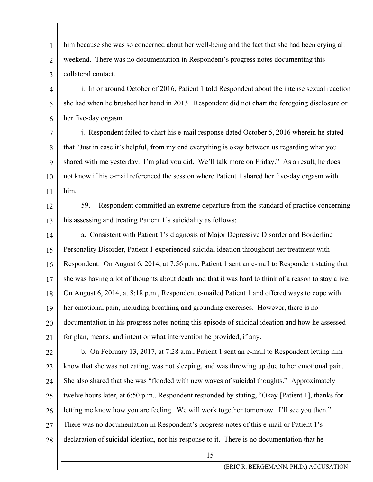1 2 3 him because she was so concerned about her well-being and the fact that she had been crying all weekend. There was no documentation in Respondent's progress notes documenting this collateral contact.

4 5 6 i. In or around October of 2016, Patient 1 told Respondent about the intense sexual reaction she had when he brushed her hand in 2013. Respondent did not chart the foregoing disclosure or her five-day orgasm.

7 8  $\overline{Q}$ 10 11 j. Respondent failed to chart his e-mail response dated October 5, 2016 wherein he stated that "Just in case it's helpful, from my end everything is okay between us regarding what you shared with me yesterday. I'm glad you did. We'll talk more on Friday." As a result, he does not know if his e-mail referenced the session where Patient 1 shared her five-day orgasm with him.

12

13

59. Respondent committed an extreme departure from the standard of practice concerning his assessing and treating Patient 1's suicidality as follows:

14 15 16 17 18 19 20 21 a. Consistent with Patient 1's diagnosis of Major Depressive Disorder and Borderline Personality Disorder, Patient 1 experienced suicidal ideation throughout her treatment with Respondent. On August 6, 2014, at 7:56 p.m., Patient 1 sent an e-mail to Respondent stating that she was having a lot of thoughts about death and that it was hard to think of a reason to stay alive. On August 6, 2014, at 8:18 p.m., Respondent e-mailed Patient 1 and offered ways to cope with her emotional pain, including breathing and grounding exercises. However, there is no documentation in his progress notes noting this episode of suicidal ideation and how he assessed for plan, means, and intent or what intervention he provided, if any.

22 23 24 25 26 27 28 b. On February 13, 2017, at 7:28 a.m., Patient 1 sent an e-mail to Respondent letting him know that she was not eating, was not sleeping, and was throwing up due to her emotional pain. She also shared that she was "flooded with new waves of suicidal thoughts." Approximately twelve hours later, at 6:50 p.m., Respondent responded by stating, "Okay [Patient 1], thanks for letting me know how you are feeling. We will work together tomorrow. I'll see you then." There was no documentation in Respondent's progress notes of this e-mail or Patient 1's declaration of suicidal ideation, nor his response to it. There is no documentation that he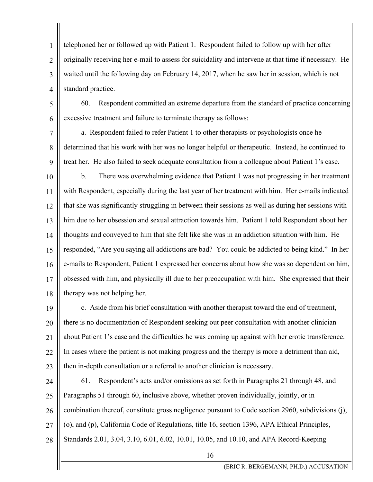1 2 3 4 telephoned her or followed up with Patient 1. Respondent failed to follow up with her after originally receiving her e-mail to assess for suicidality and intervene at that time if necessary. He waited until the following day on February 14, 2017, when he saw her in session, which is not standard practice.

5 6 60. Respondent committed an extreme departure from the standard of practice concerning excessive treatment and failure to terminate therapy as follows:

7 8 9 a. Respondent failed to refer Patient 1 to other therapists or psychologists once he determined that his work with her was no longer helpful or therapeutic. Instead, he continued to treat her. He also failed to seek adequate consultation from a colleague about Patient 1's case.

10 11 12 13 14 15 16 17 18 b. There was overwhelming evidence that Patient 1 was not progressing in her treatment with Respondent, especially during the last year of her treatment with him. Her e-mails indicated that she was significantly struggling in between their sessions as well as during her sessions with him due to her obsession and sexual attraction towards him. Patient 1 told Respondent about her thoughts and conveyed to him that she felt like she was in an addiction situation with him. He responded, "Are you saying all addictions are bad? You could be addicted to being kind." In her e-mails to Respondent, Patient 1 expressed her concerns about how she was so dependent on him, obsessed with him, and physically ill due to her preoccupation with him. She expressed that their therapy was not helping her.

19 20 21 22 23 c. Aside from his brief consultation with another therapist toward the end of treatment, there is no documentation of Respondent seeking out peer consultation with another clinician about Patient 1's case and the difficulties he was coming up against with her erotic transference. In cases where the patient is not making progress and the therapy is more a detriment than aid, then in-depth consultation or a referral to another clinician is necessary.

24 25 26 27 28 61. Respondent's acts and/or omissions as set forth in Paragraphs 21 through 48, and Paragraphs 51 through 60, inclusive above, whether proven individually, jointly, or in combination thereof, constitute gross negligence pursuant to Code section 2960, subdivisions (j), (o), and (p), California Code of Regulations, title 16, section 1396, APA Ethical Principles, Standards 2.01, 3.04, 3.10, 6.01, 6.02, 10.01, 10.05, and 10.10, and APA Record-Keeping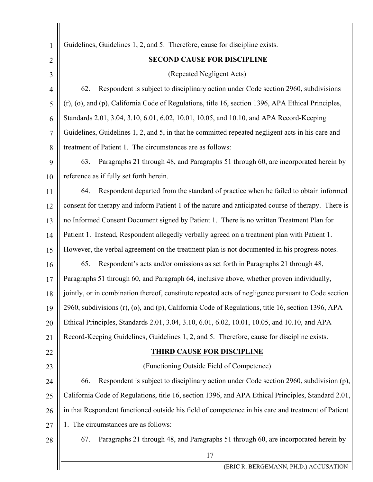17 1 2 3 4 5 6 7 8 9 13 14 15 16 17 18 19 20 21 22 23 24 25 26 27 28 Guidelines, Guidelines 1, 2, and 5. Therefore, cause for discipline exists.  **SECOND CAUSE FOR DISCIPLINE**  (Repeated Negligent Acts) 62. Respondent is subject to disciplinary action under Code section 2960, subdivisions (r), (o), and (p), California Code of Regulations, title 16, section 1396, APA Ethical Principles, Standards 2.01, 3.04, 3.10, 6.01, 6.02, 10.01, 10.05, and 10.10, and APA Record-Keeping Guidelines, Guidelines 1, 2, and 5, in that he committed repeated negligent acts in his care and treatment of Patient 1. The circumstances are as follows: 63. Paragraphs 21 through 48, and Paragraphs 51 through 60, are incorporated herein by reference as if fully set forth herein. 64. Respondent departed from the standard of practice when he failed to obtain informed consent for therapy and inform Patient 1 of the nature and anticipated course of therapy. There is no Informed Consent Document signed by Patient 1. There is no written Treatment Plan for Patient 1. Instead, Respondent allegedly verbally agreed on a treatment plan with Patient 1. However, the verbal agreement on the treatment plan is not documented in his progress notes. 65. Respondent's acts and/or omissions as set forth in Paragraphs 21 through 48, Paragraphs 51 through 60, and Paragraph 64, inclusive above, whether proven individually, jointly, or in combination thereof, constitute repeated acts of negligence pursuant to Code section 2960, subdivisions (r), (o), and (p), California Code of Regulations, title 16, section 1396, APA Ethical Principles, Standards 2.01, 3.04, 3.10, 6.01, 6.02, 10.01, 10.05, and 10.10, and APA Record-Keeping Guidelines, Guidelines 1, 2, and 5. Therefore, cause for discipline exists. **THIRD CAUSE FOR DISCIPLINE**  (Functioning Outside Field of Competence) 66. Respondent is subject to disciplinary action under Code section 2960, subdivision (p), California Code of Regulations, title 16, section 1396, and APA Ethical Principles, Standard 2.01, in that Respondent functioned outside his field of competence in his care and treatment of Patient 1. The circumstances are as follows: 67. Paragraphs 21 through 48, and Paragraphs 51 through 60, are incorporated herein by

(ERIC R. BERGEMANN, PH.D.) ACCUSATION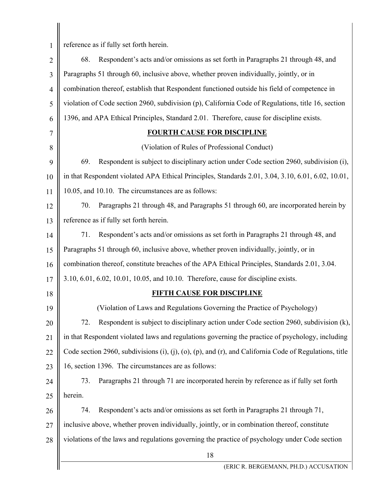1

reference as if fully set forth herein.

18 (ERIC R. BERGEMANN, PH.D.) ACCUSATION 2 3 4 5 6 7 8 9 10 11 12 13 14 15 16 17 18 19 20 21 22 23 24 25 26 27 28 68. Respondent's acts and/or omissions as set forth in Paragraphs 21 through 48, and Paragraphs 51 through 60, inclusive above, whether proven individually, jointly, or in combination thereof, establish that Respondent functioned outside his field of competence in violation of Code section 2960, subdivision (p), California Code of Regulations, title 16, section 1396, and APA Ethical Principles, Standard 2.01. Therefore, cause for discipline exists. **FOURTH CAUSE FOR DISCIPLINE**  (Violation of Rules of Professional Conduct) 69. Respondent is subject to disciplinary action under Code section 2960, subdivision (i), in that Respondent violated APA Ethical Principles, Standards 2.01, 3.04, 3.10, 6.01, 6.02, 10.01, 10.05, and 10.10. The circumstances are as follows: 70. Paragraphs 21 through 48, and Paragraphs 51 through 60, are incorporated herein by reference as if fully set forth herein. 71. Respondent's acts and/or omissions as set forth in Paragraphs 21 through 48, and Paragraphs 51 through 60, inclusive above, whether proven individually, jointly, or in combination thereof, constitute breaches of the APA Ethical Principles, Standards 2.01, 3.04. 3.10, 6.01, 6.02, 10.01, 10.05, and 10.10. Therefore, cause for discipline exists. **FIFTH CAUSE FOR DISCIPLINE**  (Violation of Laws and Regulations Governing the Practice of Psychology) 72. Respondent is subject to disciplinary action under Code section 2960, subdivision (k), in that Respondent violated laws and regulations governing the practice of psychology, including Code section 2960, subdivisions (i), (j), (o), (p), and (r), and California Code of Regulations, title 16, section 1396. The circumstances are as follows: 73. Paragraphs 21 through 71 are incorporated herein by reference as if fully set forth herein. 74. Respondent's acts and/or omissions as set forth in Paragraphs 21 through 71, inclusive above, whether proven individually, jointly, or in combination thereof, constitute violations of the laws and regulations governing the practice of psychology under Code section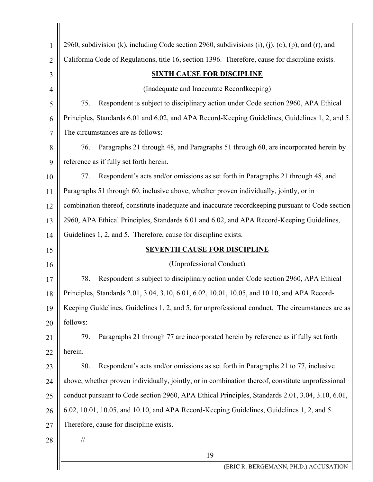| 1              | 2960, subdivision (k), including Code section 2960, subdivisions (i), (j), (o), (p), and (r), and |  |
|----------------|---------------------------------------------------------------------------------------------------|--|
| $\overline{2}$ | California Code of Regulations, title 16, section 1396. Therefore, cause for discipline exists.   |  |
| 3              | <b>SIXTH CAUSE FOR DISCIPLINE</b>                                                                 |  |
| $\overline{4}$ | (Inadequate and Inaccurate Recordkeeping)                                                         |  |
| 5              | Respondent is subject to disciplinary action under Code section 2960, APA Ethical<br>75.          |  |
| 6              | Principles, Standards 6.01 and 6.02, and APA Record-Keeping Guidelines, Guidelines 1, 2, and 5.   |  |
| $\overline{7}$ | The circumstances are as follows:                                                                 |  |
| 8              | Paragraphs 21 through 48, and Paragraphs 51 through 60, are incorporated herein by<br>76.         |  |
| 9              | reference as if fully set forth herein.                                                           |  |
| 10             | Respondent's acts and/or omissions as set forth in Paragraphs 21 through 48, and<br>77.           |  |
| 11             | Paragraphs 51 through 60, inclusive above, whether proven individually, jointly, or in            |  |
| 12             | combination thereof, constitute inadequate and inaccurate record keeping pursuant to Code section |  |
| 13             | 2960, APA Ethical Principles, Standards 6.01 and 6.02, and APA Record-Keeping Guidelines,         |  |
| 14             | Guidelines 1, 2, and 5. Therefore, cause for discipline exists.                                   |  |
| 15             | <b>SEVENTH CAUSE FOR DISCIPLINE</b>                                                               |  |
| 16             | (Unprofessional Conduct)                                                                          |  |
| 17             | 78.<br>Respondent is subject to disciplinary action under Code section 2960, APA Ethical          |  |
| 18             | Principles, Standards 2.01, 3.04, 3.10, 6.01, 6.02, 10.01, 10.05, and 10.10, and APA Record-      |  |
| 19             | Keeping Guidelines, Guidelines 1, 2, and 5, for unprofessional conduct. The circumstances are as  |  |
| 20             | follows:                                                                                          |  |
| 21             | Paragraphs 21 through 77 are incorporated herein by reference as if fully set forth<br>79.        |  |
| 22             | herein.                                                                                           |  |
| 23             | Respondent's acts and/or omissions as set forth in Paragraphs 21 to 77, inclusive<br>80.          |  |
| 24             | above, whether proven individually, jointly, or in combination thereof, constitute unprofessional |  |
| 25             | conduct pursuant to Code section 2960, APA Ethical Principles, Standards 2.01, 3.04, 3.10, 6.01,  |  |
| 26             | 6.02, 10.01, 10.05, and 10.10, and APA Record-Keeping Guidelines, Guidelines 1, 2, and 5.         |  |
| 27             | Therefore, cause for discipline exists.                                                           |  |
| 28             | $\frac{1}{2}$                                                                                     |  |
|                | 19                                                                                                |  |
|                | (ERIC R. BERGEMANN, PH.D.) ACCUSATION                                                             |  |